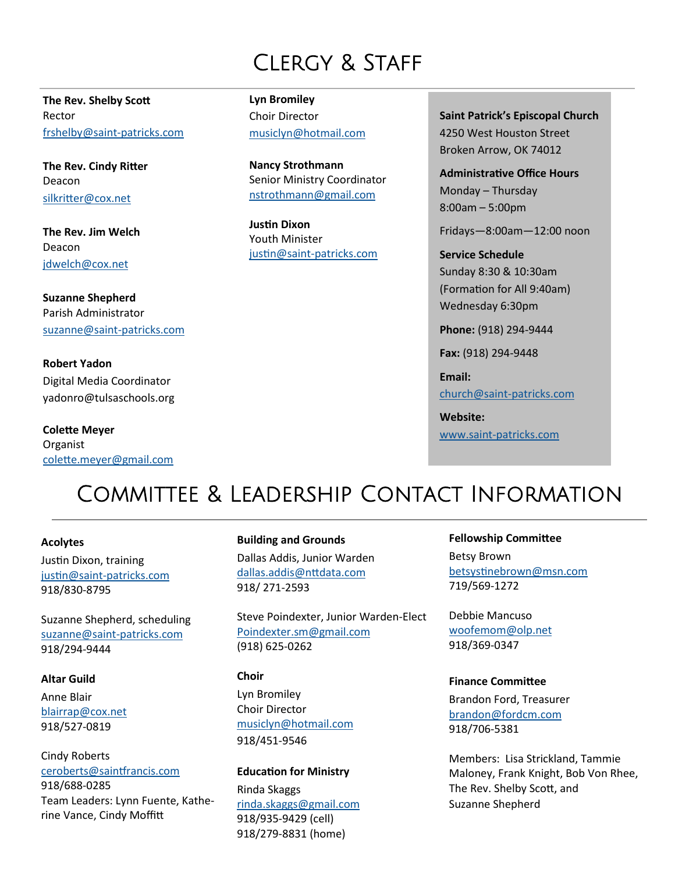# CLERGY & STAFF

**The Rev. Shelby Scott** Rector [frshelby@saint](mailto:%20frshelby@saint-patricks.com)-patricks.com

**The Rev. Cindy Ritter** Deacon [silkritter@cox.net](mailto:silkritter@cox.net)

**The Rev. Jim Welch** Deacon [jdwelch@cox.net](mailto:jdwelch@cox.net)

**Suzanne Shepherd** Parish Administrator [suzanne@saint](mailto:suzanne@saint-patricks.com)-patricks.com

**Robert Yadon** Digital Media Coordinator [yadonro@tulsaschools.org](mailto:dww1979@yahoo.com)

**Colette Meyer** Organist [colette.meyer@gmail.com](mailto:colette.meyer@gmail.com) **Lyn Bromiley** Choir Director [musiclyn@hotmail.com](mailto:musiclyn@hotmail.com)

**Nancy Strothmann** Senior Ministry Coordinator [nstrothmann@gmail.com](mailto:nstrothmann@gmail.com)

**Justin Dixon** Youth Minister justin@saint-[patricks.com](mailto:justin@saint-patricks.com) **Saint Patrick's Episcopal Church** 4250 West Houston Street Broken Arrow, OK 74012

**Administrative Office Hours** Monday – Thursday 8:00am – 5:00pm

Fridays—8:00am—12:00 noon

**Service Schedule** Sunday 8:30 & 10:30am (Formation for All 9:40am) Wednesday 6:30pm

**Phone:** (918) 294-9444

**Fax:** (918) 294-9448

**Email:** [church@saint](mailto:church@saint-patricks.com)-patricks.com

**Website:** www.saint-[patricks.com](http://www.saint-patricks.com/)

# Committee & Leadership Contact Information

## **Acolytes**

Justin Dixon, training justin@saint-[patricks.com](mailto:justin@saint-patricks.com) 918/830-8795

Suzanne Shepherd, scheduling [suzanne@saint](mailto:suzanne@saint-patricks.com)-patricks.com 918/294-9444

#### **Altar Guild**

Anne Blair [blairrap@cox.net](mailto:blairrap@cox.net) 918/527-0819

Cindy Roberts [ceroberts@saintfrancis.com](mailto:ceroberts@saintfrancis.com) 918/688-0285 Team Leaders: Lynn Fuente, Katherine Vance, Cindy Moffitt

#### **Building and Grounds**

Dallas Addis, Junior Warden [dallas.addis@nttdata.com](mailto:dallas.addis@nttdata.com) 918/ 271-2593

Steve Poindexter, Junior Warden-Elect [Poindexter.sm@gmail.com](mailto:poindexter.sm@gmail.com) (918) 625-0262

#### **Choir**

Lyn Bromiley Choir Director [musiclyn@hotmail.com](mailto:musiclyn@hotmail.com) 918/451-9546

#### **Education for Ministry**

Rinda Skaggs [rinda.skaggs@gmail.com](mailto:rinda.skaggs@gmail.com) 918/935-9429 (cell) 918/279-8831 (home)

### **Fellowship Committee**

Betsy Brown [betsystinebrown@msn.com](mailto:betsystinebrown@msn.com) 719/569-1272

Debbie Mancuso [woofemom@olp.net](mailto:woofemom@olp.net) 918/369-0347

#### **Finance Committee**

Brandon Ford, Treasurer [brandon@fordcm.com](mailto:brandon@fordcm.com) 918/706-5381

Members: Lisa Strickland, Tammie Maloney, Frank Knight, Bob Von Rhee, The Rev. Shelby Scott, and Suzanne Shepherd